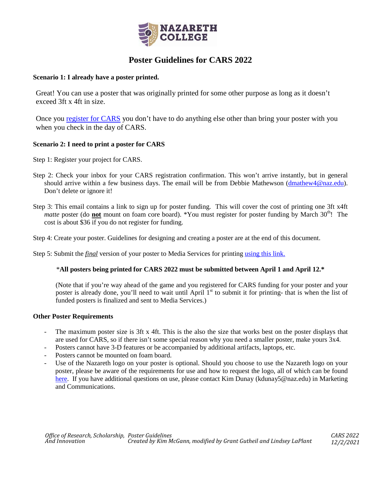

## **Poster Guidelines for CARS 2022**

#### **Scenario 1: I already have a poster printed.**

Great! You can use a poster that was originally printed for some other purpose as long as it doesn't exceed 3ft x 4ft in size.

Once you [register for CARS](https://www2.naz.edu/creative-activity-and-research-showcase/cars-event) you don't have to do anything else other than bring your poster with you when you check in the day of CARS.

#### **Scenario 2: I need to print a poster for CARS**

Step 1: Register your project for CARS.

- Step 2: Check your inbox for your CARS registration confirmation. This won't arrive instantly, but in general should arrive within a few business days. The email will be from Debbie Mathewson [\(dmathew4@naz.edu\)](mailto:dmathew4@naz.edu). Don't delete or ignore it!
- Step 3: This email contains a link to sign up for poster funding. This will cover the cost of printing one 3ft x4ft *matte* poster (do **not** mount on foam core board). \*You must register for poster funding by March 30<sup>th</sup>! The cost is about \$36 if you do not register for funding.

Step 4: Create your poster. Guidelines for designing and creating a poster are at the end of this document.

Step 5: Submit the *final* version of your poster to Media Services for printin[g using this link.](https://nazprintservices.naz.edu/PSP/app/PSP_Start.asp)

#### \***All posters being printed for CARS 2022 must be submitted between April 1 and April 12.\***

(Note that if you're way ahead of the game and you registered for CARS funding for your poster and your poster is already done, you'll need to wait until April 1<sup>st</sup> to submit it for printing- that is when the list of funded posters is finalized and sent to Media Services.)

#### **Other Poster Requirements**

- The maximum poster size is 3ft x 4ft. This is the also the size that works best on the poster displays that are used for CARS, so if there isn't some special reason why you need a smaller poster, make yours 3x4.
- Posters cannot have 3-D features or be accompanied by additional artifacts, laptops, etc.
- Posters cannot be mounted on foam board.
- Use of the Nazareth logo on your poster is optional. Should you choose to use the Nazareth logo on your poster, please be aware of the requirements for use and how to request the logo, all of which can be found [here.](https://www2.naz.edu/branding-toolkit/logo/) If you have additional questions on use, please contact Kim Dunay (kdunay5@naz.edu) in Marketing and Communications.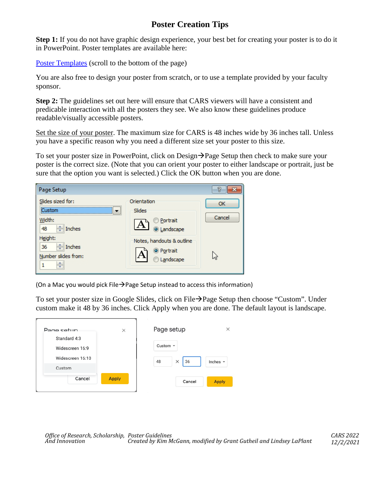# **Poster Creation Tips**

**Step 1:** If you do not have graphic design experience, your best bet for creating your poster is to do it in PowerPoint. Poster templates are available here:

[Poster Templates](https://www2.naz.edu/creative-activity-and-research-showcase/cars-event/) (scroll to the bottom of the page)

You are also free to design your poster from scratch, or to use a template provided by your faculty sponsor.

**Step 2:** The guidelines set out here will ensure that CARS viewers will have a consistent and predicable interaction with all the posters they see. We also know these guidelines produce readable/visually accessible posters.

Set the size of your poster. The maximum size for CARS is 48 inches wide by 36 inches tall. Unless you have a specific reason why you need a different size set your poster to this size.

To set your poster size in PowerPoint, click on Design $\rightarrow$  Page Setup then check to make sure your poster is the correct size. (Note that you can orient your poster to either landscape or portrait, just be sure that the option you want is selected.) Click the OK button when you are done.



(On a Mac you would pick File $\rightarrow$ Page Setup instead to access this information)

To set your poster size in Google Slides, click on File $\rightarrow$  Page Setup then choose "Custom". Under custom make it 48 by 36 inches. Click Apply when you are done. The default layout is landscape.

| Page setup                      | $\times$     | Page setup           | ×             |
|---------------------------------|--------------|----------------------|---------------|
| Standard 4:3<br>Widescreen 16:9 |              | Custom $\sim$        |               |
| Widescreen 16:10                |              | 36<br>$\times$<br>48 | Inches $\sim$ |
| Custom                          |              |                      |               |
| Cancel                          | <b>Apply</b> | Cancel               | <b>Apply</b>  |
|                                 |              |                      |               |

*Office of Research, Scholarship, Poster Guidelines CARS 2022 And Innovation Created by Kim McGann, modified by Grant Gutheil and Lindsey LaPlant 12/2/2021*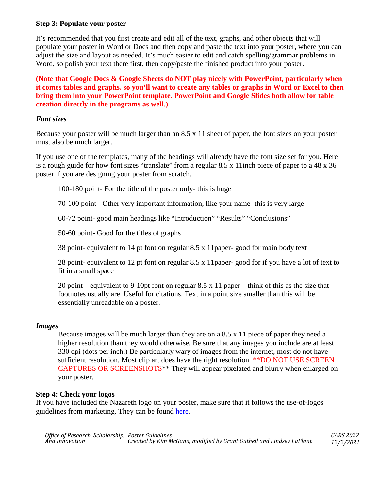### **Step 3: Populate your poster**

It's recommended that you first create and edit all of the text, graphs, and other objects that will populate your poster in Word or Docs and then copy and paste the text into your poster, where you can adjust the size and layout as needed. It's much easier to edit and catch spelling/grammar problems in Word, so polish your text there first, then copy/paste the finished product into your poster.

**(Note that Google Docs & Google Sheets do NOT play nicely with PowerPoint, particularly when it comes tables and graphs, so you'll want to create any tables or graphs in Word or Excel to then bring them into your PowerPoint template. PowerPoint and Google Slides both allow for table creation directly in the programs as well.)**

### *Font sizes*

Because your poster will be much larger than an 8.5 x 11 sheet of paper, the font sizes on your poster must also be much larger.

If you use one of the templates, many of the headings will already have the font size set for you. Here is a rough guide for how font sizes "translate" from a regular 8.5 x 11inch piece of paper to a 48 x 36 poster if you are designing your poster from scratch.

100-180 point- For the title of the poster only- this is huge

70-100 point - Other very important information, like your name- this is very large

60-72 point- good main headings like "Introduction" "Results" "Conclusions"

50-60 point- Good for the titles of graphs

38 point- equivalent to 14 pt font on regular 8.5 x 11paper- good for main body text

28 point- equivalent to 12 pt font on regular 8.5 x 11paper- good for if you have a lot of text to fit in a small space

20 point – equivalent to 9-10pt font on regular 8.5 x 11 paper – think of this as the size that footnotes usually are. Useful for citations. Text in a point size smaller than this will be essentially unreadable on a poster.

#### *Images*

Because images will be much larger than they are on a 8.5 x 11 piece of paper they need a higher resolution than they would otherwise. Be sure that any images you include are at least 330 dpi (dots per inch.) Be particularly wary of images from the internet, most do not have sufficient resolution. Most clip art does have the right resolution. \*\*DO NOT USE SCREEN CAPTURES OR SCREENSHOTS\*\* They will appear pixelated and blurry when enlarged on your poster.

## **Step 4: Check your logos**

If you have included the Nazareth logo on your poster, make sure that it follows the use-of-logos guidelines from marketing. They can be found [here.](https://www2.naz.edu/branding-toolkit/logo/)

*Office of Research, Scholarship, Poster Guidelines CARS 2022 And Innovation Created by Kim McGann, modified by Grant Gutheil and Lindsey LaPlant 12/2/2021*